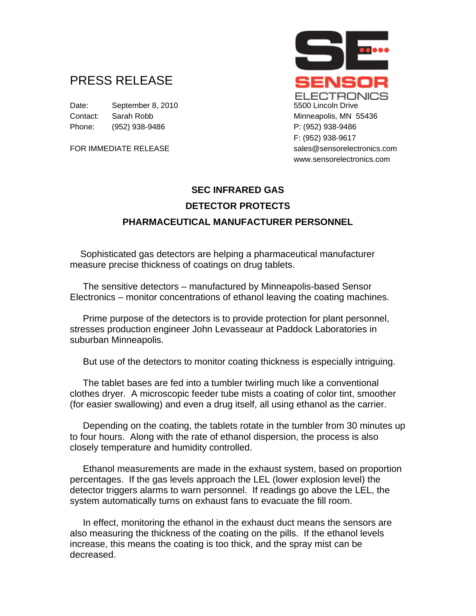## PRESS RELEASE

Date: September 8, 2010 5500 Lincoln Drive Contact: Sarah Robb Minneapolis, MN 55436 Phone: (952) 938-9486 P: (952) 938-9486



## **SEC INFRARED GAS DETECTOR PROTECTS PHARMACEUTICAL MANUFACTURER PERSONNEL**

 Sophisticated gas detectors are helping a pharmaceutical manufacturer measure precise thickness of coatings on drug tablets.

 The sensitive detectors – manufactured by Minneapolis-based Sensor Electronics – monitor concentrations of ethanol leaving the coating machines.

 Prime purpose of the detectors is to provide protection for plant personnel, stresses production engineer John Levasseaur at Paddock Laboratories in suburban Minneapolis.

But use of the detectors to monitor coating thickness is especially intriguing.

 The tablet bases are fed into a tumbler twirling much like a conventional clothes dryer. A microscopic feeder tube mists a coating of color tint, smoother (for easier swallowing) and even a drug itself, all using ethanol as the carrier.

 Depending on the coating, the tablets rotate in the tumbler from 30 minutes up to four hours. Along with the rate of ethanol dispersion, the process is also closely temperature and humidity controlled.

 Ethanol measurements are made in the exhaust system, based on proportion percentages. If the gas levels approach the LEL (lower explosion level) the detector triggers alarms to warn personnel. If readings go above the LEL, the system automatically turns on exhaust fans to evacuate the fill room.

 In effect, monitoring the ethanol in the exhaust duct means the sensors are also measuring the thickness of the coating on the pills. If the ethanol levels increase, this means the coating is too thick, and the spray mist can be decreased.